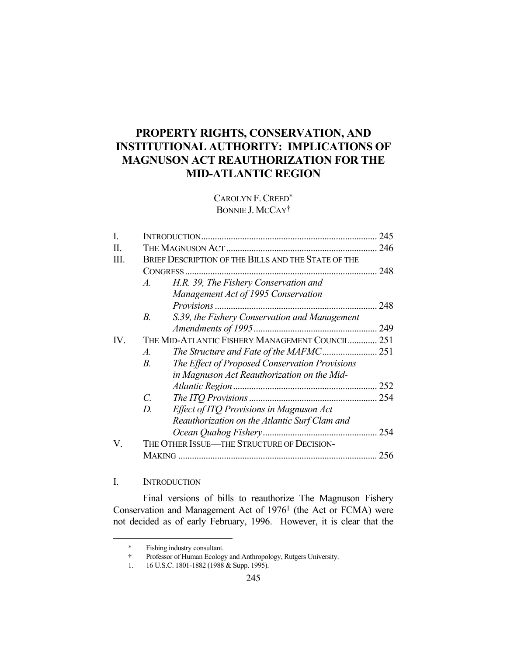# **PROPERTY RIGHTS, CONSERVATION, AND INSTITUTIONAL AUTHORITY: IMPLICATIONS OF MAGNUSON ACT REAUTHORIZATION FOR THE MID-ATLANTIC REGION**

# CAROLYN F.CREED\* BONNIE J. MCCAY<sup>†</sup>

| L    |                                                                  | 245 |
|------|------------------------------------------------------------------|-----|
| Н.   |                                                                  |     |
| III. | BRIEF DESCRIPTION OF THE BILLS AND THE STATE OF THE              |     |
|      | CONGRESS                                                         | 248 |
|      | H.R. 39, The Fishery Conservation and<br>$\mathcal{A}_{\cdot}$   |     |
|      | Management Act of 1995 Conservation                              |     |
|      |                                                                  | 248 |
|      | $B_{\cdot}$<br>S.39, the Fishery Conservation and Management     |     |
|      |                                                                  |     |
| IV.  | THE MID-ATLANTIC FISHERY MANAGEMENT COUNCIL 251                  |     |
|      | $\mathcal{A}.$                                                   |     |
|      | B <sub>1</sub><br>The Effect of Proposed Conservation Provisions |     |
|      | in Magnuson Act Reauthorization on the Mid-                      |     |
|      |                                                                  |     |
|      | $\mathcal{C}$ .                                                  |     |
|      | Effect of ITQ Provisions in Magnuson Act<br>D.                   |     |
|      | Reauthorization on the Atlantic Surf Clam and                    |     |
|      |                                                                  |     |
| V.   | THE OTHER ISSUE—THE STRUCTURE OF DECISION-                       |     |
|      |                                                                  | 256 |
|      |                                                                  |     |

# I. INTRODUCTION

1

 Final versions of bills to reauthorize The Magnuson Fishery Conservation and Management Act of 19761 (the Act or FCMA) were not decided as of early February, 1996. However, it is clear that the

 <sup>\*</sup> Fishing industry consultant.

 <sup>†</sup> Professor of Human Ecology and Anthropology, Rutgers University.

<sup>16</sup> U.S.C. 1801-1882 (1988 & Supp. 1995).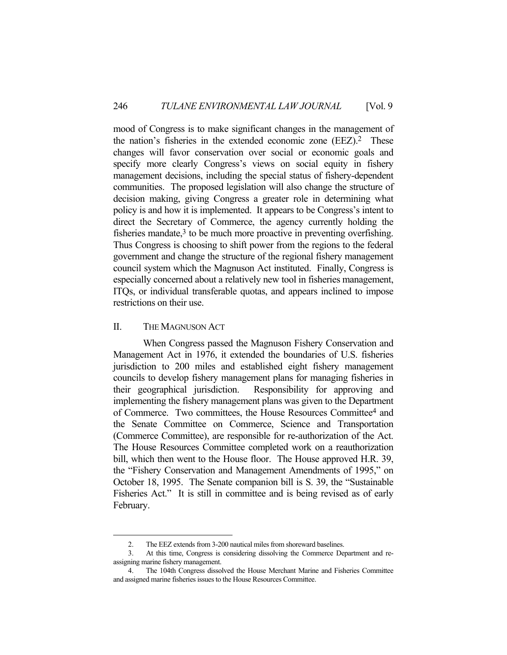mood of Congress is to make significant changes in the management of the nation's fisheries in the extended economic zone (EEZ).2 These changes will favor conservation over social or economic goals and specify more clearly Congress's views on social equity in fishery management decisions, including the special status of fishery-dependent communities. The proposed legislation will also change the structure of decision making, giving Congress a greater role in determining what policy is and how it is implemented. It appears to be Congress's intent to direct the Secretary of Commerce, the agency currently holding the fisheries mandate, $3$  to be much more proactive in preventing overfishing. Thus Congress is choosing to shift power from the regions to the federal government and change the structure of the regional fishery management council system which the Magnuson Act instituted. Finally, Congress is especially concerned about a relatively new tool in fisheries management, ITQs, or individual transferable quotas, and appears inclined to impose restrictions on their use.

#### II. THE MAGNUSON ACT

1

 When Congress passed the Magnuson Fishery Conservation and Management Act in 1976, it extended the boundaries of U.S. fisheries jurisdiction to 200 miles and established eight fishery management councils to develop fishery management plans for managing fisheries in their geographical jurisdiction. Responsibility for approving and implementing the fishery management plans was given to the Department of Commerce. Two committees, the House Resources Committee4 and the Senate Committee on Commerce, Science and Transportation (Commerce Committee), are responsible for re-authorization of the Act. The House Resources Committee completed work on a reauthorization bill, which then went to the House floor. The House approved H.R. 39, the "Fishery Conservation and Management Amendments of 1995," on October 18, 1995. The Senate companion bill is S. 39, the "Sustainable Fisheries Act." It is still in committee and is being revised as of early February.

 <sup>2.</sup> The EEZ extends from 3-200 nautical miles from shoreward baselines.

 <sup>3.</sup> At this time, Congress is considering dissolving the Commerce Department and reassigning marine fishery management.

 <sup>4.</sup> The 104th Congress dissolved the House Merchant Marine and Fisheries Committee and assigned marine fisheries issues to the House Resources Committee.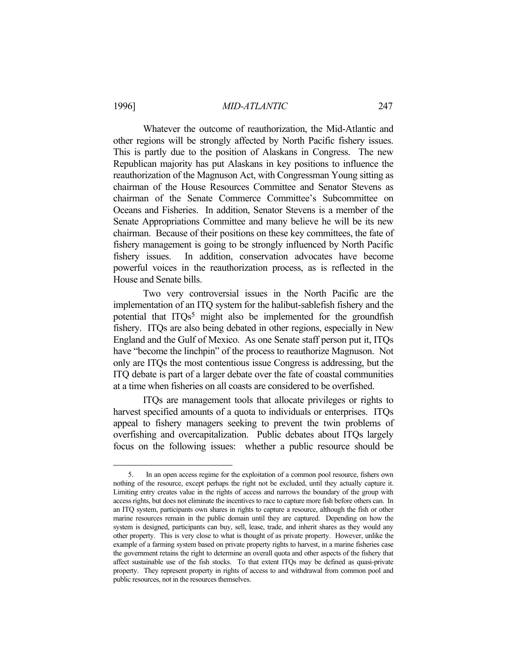1

## 1996] *MID-ATLANTIC* 247

 Whatever the outcome of reauthorization, the Mid-Atlantic and other regions will be strongly affected by North Pacific fishery issues. This is partly due to the position of Alaskans in Congress. The new Republican majority has put Alaskans in key positions to influence the reauthorization of the Magnuson Act, with Congressman Young sitting as chairman of the House Resources Committee and Senator Stevens as chairman of the Senate Commerce Committee's Subcommittee on Oceans and Fisheries. In addition, Senator Stevens is a member of the Senate Appropriations Committee and many believe he will be its new chairman. Because of their positions on these key committees, the fate of fishery management is going to be strongly influenced by North Pacific fishery issues. In addition, conservation advocates have become powerful voices in the reauthorization process, as is reflected in the House and Senate bills.

 Two very controversial issues in the North Pacific are the implementation of an ITQ system for the halibut-sablefish fishery and the potential that ITQs<sup>5</sup> might also be implemented for the groundfish fishery. ITQs are also being debated in other regions, especially in New England and the Gulf of Mexico. As one Senate staff person put it, ITQs have "become the linchpin" of the process to reauthorize Magnuson. Not only are ITQs the most contentious issue Congress is addressing, but the ITQ debate is part of a larger debate over the fate of coastal communities at a time when fisheries on all coasts are considered to be overfished.

 ITQs are management tools that allocate privileges or rights to harvest specified amounts of a quota to individuals or enterprises. ITQs appeal to fishery managers seeking to prevent the twin problems of overfishing and overcapitalization. Public debates about ITQs largely focus on the following issues: whether a public resource should be

 <sup>5.</sup> In an open access regime for the exploitation of a common pool resource, fishers own nothing of the resource, except perhaps the right not be excluded, until they actually capture it. Limiting entry creates value in the rights of access and narrows the boundary of the group with access rights, but does not eliminate the incentives to race to capture more fish before others can. In an ITQ system, participants own shares in rights to capture a resource, although the fish or other marine resources remain in the public domain until they are captured. Depending on how the system is designed, participants can buy, sell, lease, trade, and inherit shares as they would any other property. This is very close to what is thought of as private property. However, unlike the example of a farming system based on private property rights to harvest, in a marine fisheries case the government retains the right to determine an overall quota and other aspects of the fishery that affect sustainable use of the fish stocks. To that extent ITQs may be defined as quasi-private property. They represent property in rights of access to and withdrawal from common pool and public resources, not in the resources themselves.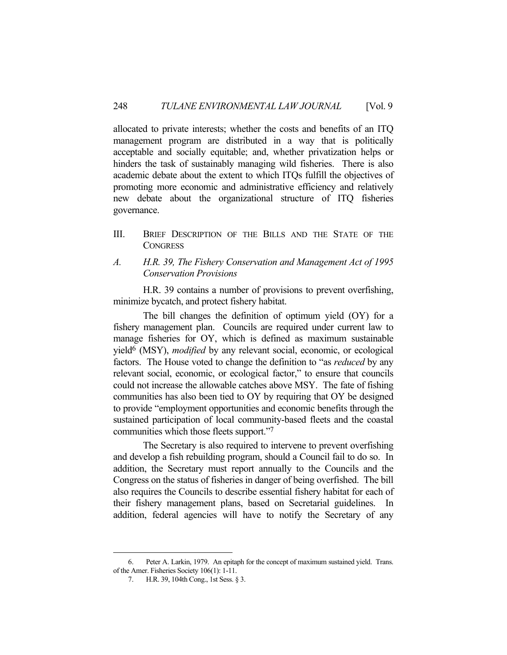allocated to private interests; whether the costs and benefits of an ITQ management program are distributed in a way that is politically acceptable and socially equitable; and, whether privatization helps or hinders the task of sustainably managing wild fisheries. There is also academic debate about the extent to which ITQs fulfill the objectives of promoting more economic and administrative efficiency and relatively new debate about the organizational structure of ITQ fisheries governance.

III. BRIEF DESCRIPTION OF THE BILLS AND THE STATE OF THE **CONGRESS** 

## *A. H.R. 39, The Fishery Conservation and Management Act of 1995 Conservation Provisions*

 H.R. 39 contains a number of provisions to prevent overfishing, minimize bycatch, and protect fishery habitat.

 The bill changes the definition of optimum yield (OY) for a fishery management plan. Councils are required under current law to manage fisheries for OY, which is defined as maximum sustainable yield6 (MSY), *modified* by any relevant social, economic, or ecological factors. The House voted to change the definition to "as *reduced* by any relevant social, economic, or ecological factor," to ensure that councils could not increase the allowable catches above MSY. The fate of fishing communities has also been tied to OY by requiring that OY be designed to provide "employment opportunities and economic benefits through the sustained participation of local community-based fleets and the coastal communities which those fleets support."7

 The Secretary is also required to intervene to prevent overfishing and develop a fish rebuilding program, should a Council fail to do so. In addition, the Secretary must report annually to the Councils and the Congress on the status of fisheries in danger of being overfished. The bill also requires the Councils to describe essential fishery habitat for each of their fishery management plans, based on Secretarial guidelines. In addition, federal agencies will have to notify the Secretary of any

<u>.</u>

 <sup>6.</sup> Peter A. Larkin, 1979. An epitaph for the concept of maximum sustained yield. Trans. of the Amer. Fisheries Society 106(1): 1-11.

 <sup>7.</sup> H.R. 39, 104th Cong., 1st Sess. § 3.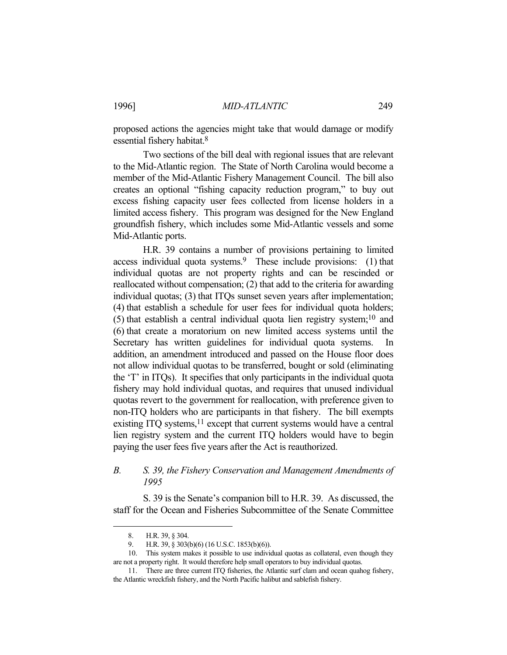proposed actions the agencies might take that would damage or modify essential fishery habitat.8

 Two sections of the bill deal with regional issues that are relevant to the Mid-Atlantic region. The State of North Carolina would become a member of the Mid-Atlantic Fishery Management Council. The bill also creates an optional "fishing capacity reduction program," to buy out excess fishing capacity user fees collected from license holders in a limited access fishery. This program was designed for the New England groundfish fishery, which includes some Mid-Atlantic vessels and some Mid-Atlantic ports.

 H.R. 39 contains a number of provisions pertaining to limited access individual quota systems.<sup>9</sup> These include provisions:  $(1)$  that individual quotas are not property rights and can be rescinded or reallocated without compensation; (2) that add to the criteria for awarding individual quotas; (3) that ITQs sunset seven years after implementation; (4) that establish a schedule for user fees for individual quota holders; (5) that establish a central individual quota lien registry system;10 and (6) that create a moratorium on new limited access systems until the Secretary has written guidelines for individual quota systems. addition, an amendment introduced and passed on the House floor does not allow individual quotas to be transferred, bought or sold (eliminating the 'T' in ITQs). It specifies that only participants in the individual quota fishery may hold individual quotas, and requires that unused individual quotas revert to the government for reallocation, with preference given to non-ITQ holders who are participants in that fishery. The bill exempts existing ITQ systems,<sup>11</sup> except that current systems would have a central lien registry system and the current ITQ holders would have to begin paying the user fees five years after the Act is reauthorized.

# *B. S. 39, the Fishery Conservation and Management Amendments of 1995*

 S. 39 is the Senate's companion bill to H.R. 39. As discussed, the staff for the Ocean and Fisheries Subcommittee of the Senate Committee

 <sup>8.</sup> H.R. 39, § 304.

 <sup>9.</sup> H.R. 39, § 303(b)(6) (16 U.S.C. 1853(b)(6)).

 <sup>10.</sup> This system makes it possible to use individual quotas as collateral, even though they are not a property right. It would therefore help small operators to buy individual quotas.

 <sup>11.</sup> There are three current ITQ fisheries, the Atlantic surf clam and ocean quahog fishery, the Atlantic wreckfish fishery, and the North Pacific halibut and sablefish fishery.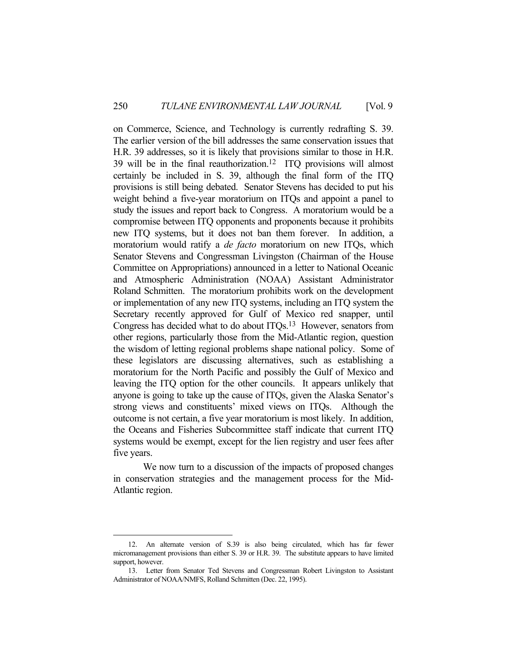on Commerce, Science, and Technology is currently redrafting S. 39. The earlier version of the bill addresses the same conservation issues that H.R. 39 addresses, so it is likely that provisions similar to those in H.R. 39 will be in the final reauthorization.12 ITQ provisions will almost certainly be included in S. 39, although the final form of the ITQ provisions is still being debated. Senator Stevens has decided to put his weight behind a five-year moratorium on ITQs and appoint a panel to study the issues and report back to Congress. A moratorium would be a compromise between ITQ opponents and proponents because it prohibits new ITQ systems, but it does not ban them forever. In addition, a moratorium would ratify a *de facto* moratorium on new ITQs, which Senator Stevens and Congressman Livingston (Chairman of the House Committee on Appropriations) announced in a letter to National Oceanic and Atmospheric Administration (NOAA) Assistant Administrator Roland Schmitten. The moratorium prohibits work on the development or implementation of any new ITQ systems, including an ITQ system the Secretary recently approved for Gulf of Mexico red snapper, until Congress has decided what to do about ITQs.13 However, senators from other regions, particularly those from the Mid-Atlantic region, question the wisdom of letting regional problems shape national policy. Some of these legislators are discussing alternatives, such as establishing a moratorium for the North Pacific and possibly the Gulf of Mexico and leaving the ITQ option for the other councils. It appears unlikely that anyone is going to take up the cause of ITQs, given the Alaska Senator's strong views and constituents' mixed views on ITQs. Although the outcome is not certain, a five year moratorium is most likely. In addition, the Oceans and Fisheries Subcommittee staff indicate that current ITQ systems would be exempt, except for the lien registry and user fees after five years.

 We now turn to a discussion of the impacts of proposed changes in conservation strategies and the management process for the Mid-Atlantic region.

 <sup>12.</sup> An alternate version of S.39 is also being circulated, which has far fewer micromanagement provisions than either S. 39 or H.R. 39. The substitute appears to have limited support, however.

 <sup>13.</sup> Letter from Senator Ted Stevens and Congressman Robert Livingston to Assistant Administrator of NOAA/NMFS, Rolland Schmitten (Dec. 22, 1995).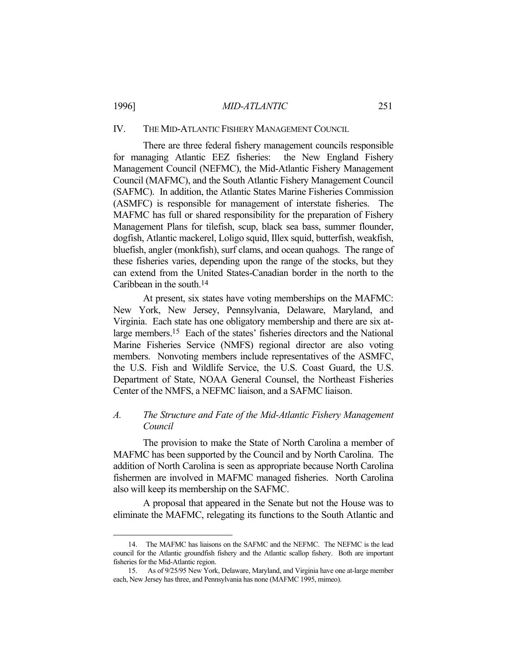#### 1996] *MID-ATLANTIC* 251

#### IV. THE MID-ATLANTIC FISHERY MANAGEMENT COUNCIL

 There are three federal fishery management councils responsible for managing Atlantic EEZ fisheries: the New England Fishery Management Council (NEFMC), the Mid-Atlantic Fishery Management Council (MAFMC), and the South Atlantic Fishery Management Council (SAFMC). In addition, the Atlantic States Marine Fisheries Commission (ASMFC) is responsible for management of interstate fisheries. The MAFMC has full or shared responsibility for the preparation of Fishery Management Plans for tilefish, scup, black sea bass, summer flounder, dogfish, Atlantic mackerel, Loligo squid, Illex squid, butterfish, weakfish, bluefish, angler (monkfish), surf clams, and ocean quahogs. The range of these fisheries varies, depending upon the range of the stocks, but they can extend from the United States-Canadian border in the north to the Caribbean in the south.14

 At present, six states have voting memberships on the MAFMC: New York, New Jersey, Pennsylvania, Delaware, Maryland, and Virginia. Each state has one obligatory membership and there are six atlarge members.15 Each of the states' fisheries directors and the National Marine Fisheries Service (NMFS) regional director are also voting members. Nonvoting members include representatives of the ASMFC, the U.S. Fish and Wildlife Service, the U.S. Coast Guard, the U.S. Department of State, NOAA General Counsel, the Northeast Fisheries Center of the NMFS, a NEFMC liaison, and a SAFMC liaison.

# *A. The Structure and Fate of the Mid-Atlantic Fishery Management Council*

 The provision to make the State of North Carolina a member of MAFMC has been supported by the Council and by North Carolina. The addition of North Carolina is seen as appropriate because North Carolina fishermen are involved in MAFMC managed fisheries. North Carolina also will keep its membership on the SAFMC.

 A proposal that appeared in the Senate but not the House was to eliminate the MAFMC, relegating its functions to the South Atlantic and

 <sup>14.</sup> The MAFMC has liaisons on the SAFMC and the NEFMC. The NEFMC is the lead council for the Atlantic groundfish fishery and the Atlantic scallop fishery. Both are important fisheries for the Mid-Atlantic region.

 <sup>15.</sup> As of 9/25/95 New York, Delaware, Maryland, and Virginia have one at-large member each, New Jersey has three, and Pennsylvania has none (MAFMC 1995, mimeo).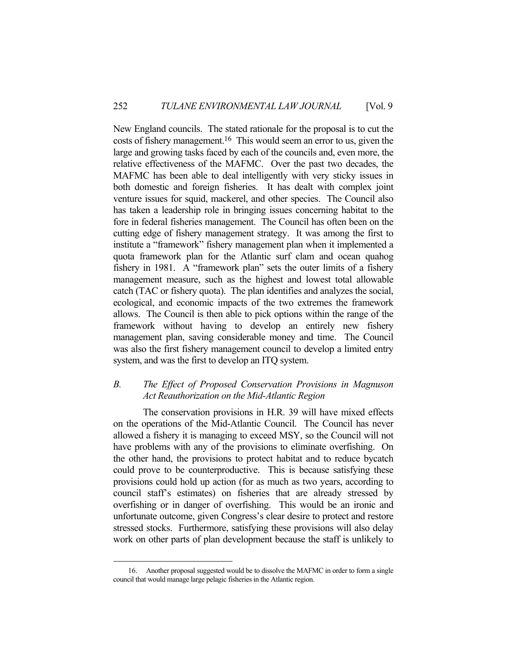New England councils. The stated rationale for the proposal is to cut the costs of fishery management.16 This would seem an error to us, given the large and growing tasks faced by each of the councils and, even more, the relative effectiveness of the MAFMC. Over the past two decades, the MAFMC has been able to deal intelligently with very sticky issues in both domestic and foreign fisheries. It has dealt with complex joint venture issues for squid, mackerel, and other species. The Council also has taken a leadership role in bringing issues concerning habitat to the fore in federal fisheries management. The Council has often been on the cutting edge of fishery management strategy. It was among the first to institute a "framework" fishery management plan when it implemented a quota framework plan for the Atlantic surf clam and ocean quahog fishery in 1981. A "framework plan" sets the outer limits of a fishery management measure, such as the highest and lowest total allowable catch (TAC or fishery quota). The plan identifies and analyzes the social, ecological, and economic impacts of the two extremes the framework allows. The Council is then able to pick options within the range of the framework without having to develop an entirely new fishery management plan, saving considerable money and time. The Council was also the first fishery management council to develop a limited entry system, and was the first to develop an ITQ system.

# *B. The Effect of Proposed Conservation Provisions in Magnuson Act Reauthorization on the Mid-Atlantic Region*

 The conservation provisions in H.R. 39 will have mixed effects on the operations of the Mid-Atlantic Council. The Council has never allowed a fishery it is managing to exceed MSY, so the Council will not have problems with any of the provisions to eliminate overfishing. On the other hand, the provisions to protect habitat and to reduce bycatch could prove to be counterproductive. This is because satisfying these provisions could hold up action (for as much as two years, according to council staff's estimates) on fisheries that are already stressed by overfishing or in danger of overfishing. This would be an ironic and unfortunate outcome, given Congress's clear desire to protect and restore stressed stocks. Furthermore, satisfying these provisions will also delay work on other parts of plan development because the staff is unlikely to

 <sup>16.</sup> Another proposal suggested would be to dissolve the MAFMC in order to form a single council that would manage large pelagic fisheries in the Atlantic region.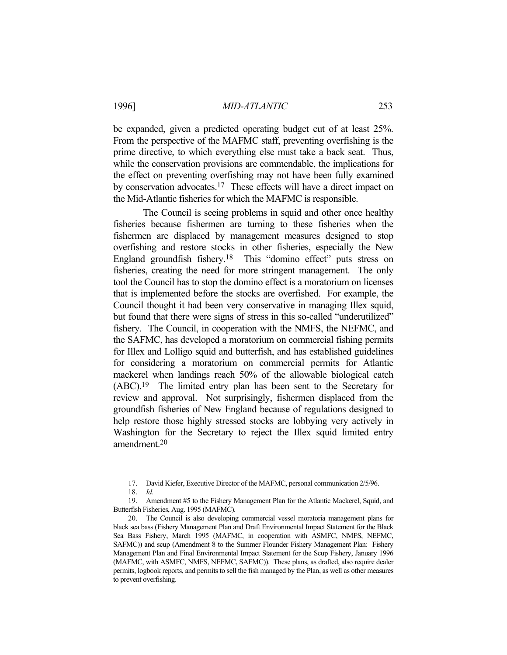be expanded, given a predicted operating budget cut of at least 25%. From the perspective of the MAFMC staff, preventing overfishing is the prime directive, to which everything else must take a back seat. Thus, while the conservation provisions are commendable, the implications for the effect on preventing overfishing may not have been fully examined by conservation advocates.17 These effects will have a direct impact on the Mid-Atlantic fisheries for which the MAFMC is responsible.

 The Council is seeing problems in squid and other once healthy fisheries because fishermen are turning to these fisheries when the fishermen are displaced by management measures designed to stop overfishing and restore stocks in other fisheries, especially the New England groundfish fishery.<sup>18</sup> This "domino effect" puts stress on fisheries, creating the need for more stringent management. The only tool the Council has to stop the domino effect is a moratorium on licenses that is implemented before the stocks are overfished. For example, the Council thought it had been very conservative in managing Illex squid, but found that there were signs of stress in this so-called "underutilized" fishery. The Council, in cooperation with the NMFS, the NEFMC, and the SAFMC, has developed a moratorium on commercial fishing permits for Illex and Lolligo squid and butterfish, and has established guidelines for considering a moratorium on commercial permits for Atlantic mackerel when landings reach 50% of the allowable biological catch (ABC).19 The limited entry plan has been sent to the Secretary for review and approval. Not surprisingly, fishermen displaced from the groundfish fisheries of New England because of regulations designed to help restore those highly stressed stocks are lobbying very actively in Washington for the Secretary to reject the Illex squid limited entry amendment.20

 <sup>17.</sup> David Kiefer, Executive Director of the MAFMC, personal communication 2/5/96.

 <sup>18.</sup> *Id.*

 <sup>19.</sup> Amendment #5 to the Fishery Management Plan for the Atlantic Mackerel, Squid, and Butterfish Fisheries, Aug. 1995 (MAFMC).

 <sup>20.</sup> The Council is also developing commercial vessel moratoria management plans for black sea bass (Fishery Management Plan and Draft Environmental Impact Statement for the Black Sea Bass Fishery, March 1995 (MAFMC, in cooperation with ASMFC, NMFS, NEFMC, SAFMC)) and scup (Amendment 8 to the Summer Flounder Fishery Management Plan: Fishery Management Plan and Final Environmental Impact Statement for the Scup Fishery, January 1996 (MAFMC, with ASMFC, NMFS, NEFMC, SAFMC)). These plans, as drafted, also require dealer permits, logbook reports, and permits to sell the fish managed by the Plan, as well as other measures to prevent overfishing.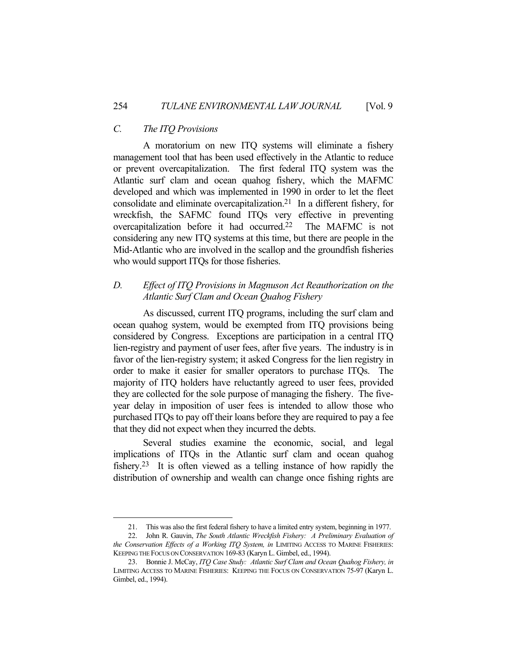#### *C. The ITQ Provisions*

1

 A moratorium on new ITQ systems will eliminate a fishery management tool that has been used effectively in the Atlantic to reduce or prevent overcapitalization. The first federal ITQ system was the Atlantic surf clam and ocean quahog fishery, which the MAFMC developed and which was implemented in 1990 in order to let the fleet consolidate and eliminate overcapitalization.21 In a different fishery, for wreckfish, the SAFMC found ITQs very effective in preventing overcapitalization before it had occurred.22 The MAFMC is not considering any new ITQ systems at this time, but there are people in the Mid-Atlantic who are involved in the scallop and the groundfish fisheries who would support ITQs for those fisheries.

# *D. Effect of ITQ Provisions in Magnuson Act Reauthorization on the Atlantic Surf Clam and Ocean Quahog Fishery*

 As discussed, current ITQ programs, including the surf clam and ocean quahog system, would be exempted from ITQ provisions being considered by Congress. Exceptions are participation in a central ITQ lien-registry and payment of user fees, after five years. The industry is in favor of the lien-registry system; it asked Congress for the lien registry in order to make it easier for smaller operators to purchase ITQs. The majority of ITQ holders have reluctantly agreed to user fees, provided they are collected for the sole purpose of managing the fishery. The fiveyear delay in imposition of user fees is intended to allow those who purchased ITQs to pay off their loans before they are required to pay a fee that they did not expect when they incurred the debts.

 Several studies examine the economic, social, and legal implications of ITQs in the Atlantic surf clam and ocean quahog fishery.23 It is often viewed as a telling instance of how rapidly the distribution of ownership and wealth can change once fishing rights are

 <sup>21.</sup> This was also the first federal fishery to have a limited entry system, beginning in 1977.

 <sup>22.</sup> John R. Gauvin, *The South Atlantic Wreckfish Fishery: A Preliminary Evaluation of the Conservation Effects of a Working ITQ System, in* LIMITING ACCESS TO MARINE FISHERIES: KEEPING THE FOCUS ON CONSERVATION 169-83 (Karyn L. Gimbel, ed., 1994).

 <sup>23.</sup> Bonnie J. McCay, *ITQ Case Study: Atlantic Surf Clam and Ocean Quahog Fishery, in* LIMITING ACCESS TO MARINE FISHERIES: KEEPING THE FOCUS ON CONSERVATION 75-97 (Karyn L. Gimbel, ed., 1994).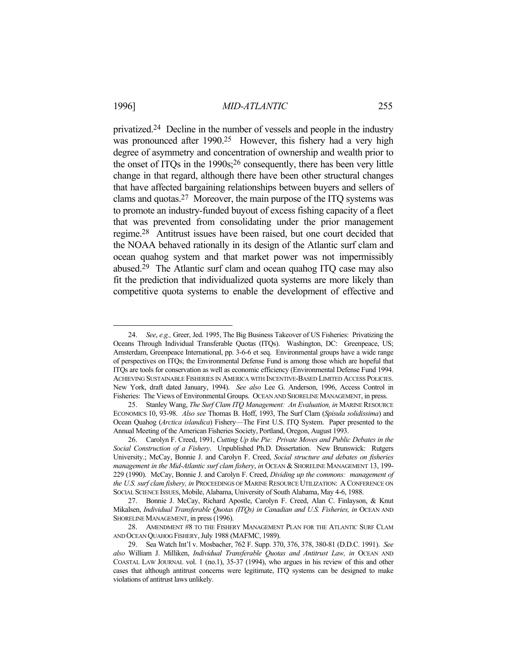<u>.</u>

privatized.24 Decline in the number of vessels and people in the industry was pronounced after 1990.<sup>25</sup> However, this fishery had a very high degree of asymmetry and concentration of ownership and wealth prior to the onset of ITQs in the 1990s;26 consequently, there has been very little change in that regard, although there have been other structural changes that have affected bargaining relationships between buyers and sellers of clams and quotas.27 Moreover, the main purpose of the ITQ systems was to promote an industry-funded buyout of excess fishing capacity of a fleet that was prevented from consolidating under the prior management regime.28 Antitrust issues have been raised, but one court decided that the NOAA behaved rationally in its design of the Atlantic surf clam and ocean quahog system and that market power was not impermissibly abused.29 The Atlantic surf clam and ocean quahog ITQ case may also fit the prediction that individualized quota systems are more likely than competitive quota systems to enable the development of effective and

 <sup>24.</sup> *See*, *e.g.,* Greer, Jed. 1995, The Big Business Takeover of US Fisheries: Privatizing the Oceans Through Individual Transferable Quotas (ITQs). Washington, DC: Greenpeace, US; Amsterdam, Greenpeace International, pp. 3-6-6 et seq. Environmental groups have a wide range of perspectives on ITQs; the Environmental Defense Fund is among those which are hopeful that ITQs are tools for conservation as well as economic efficiency (Environmental Defense Fund 1994. ACHIEVING SUSTAINABLE FISHERIES IN AMERICA WITH INCENTIVE-BASED LIMITED ACCESS POLICIES. New York, draft dated January, 1994). *See also* Lee G. Anderson, 1996, Access Control in Fisheries: The Views of Environmental Groups. OCEAN AND SHORELINE MANAGEMENT, in press.

 <sup>25.</sup> Stanley Wang, *The Surf Clam ITQ Management: An Evaluation, in* MARINE RESOURCE ECONOMICS 10, 93-98. *Also see* Thomas B. Hoff, 1993, The Surf Clam (*Spisula solidissima*) and Ocean Quahog (*Arctica islandica*) Fishery—The First U.S. ITQ System. Paper presented to the Annual Meeting of the American Fisheries Society, Portland, Oregon, August 1993.

 <sup>26.</sup> Carolyn F. Creed, 1991, *Cutting Up the Pie: Private Moves and Public Debates in the Social Construction of a Fishery*. Unpublished Ph.D. Dissertation. New Brunswick: Rutgers University.; McCay, Bonnie J. and Carolyn F. Creed, *Social structure and debates on fisheries management in the Mid-Atlantic surf clam fishery*, *in* OCEAN & SHORELINE MANAGEMENT 13, 199- 229 (1990). McCay, Bonnie J. and Carolyn F. Creed, *Dividing up the commons: management of the U.S. surf clam fishery, in* PROCEEDINGS OF MARINE RESOURCE UTILIZATION: A CONFERENCE ON SOCIAL SCIENCE ISSUES, Mobile, Alabama, University of South Alabama, May 4-6, 1988.

 <sup>27.</sup> Bonnie J. McCay, Richard Apostle, Carolyn F. Creed, Alan C. Finlayson, & Knut Mikalsen, *Individual Transferable Quotas (ITQs) in Canadian and U.S. Fisheries, in* OCEAN AND SHORELINE MANAGEMENT, in press (1996).

 <sup>28.</sup> AMENDMENT #8 TO THE FISHERY MANAGEMENT PLAN FOR THE ATLANTIC SURF CLAM AND OCEAN QUAHOG FISHERY, July 1988 (MAFMC, 1989).

 <sup>29.</sup> Sea Watch Int'l v. Mosbacher, 762 F. Supp. 370, 376, 378, 380-81 (D.D.C. 1991). *See also* William J. Milliken, *Individual Transferable Quotas and Antitrust Law, in* OCEAN AND COASTAL LAW JOURNAL vol. 1 (no.1), 35-37 (1994), who argues in his review of this and other cases that although antitrust concerns were legitimate, ITQ systems can be designed to make violations of antitrust laws unlikely.